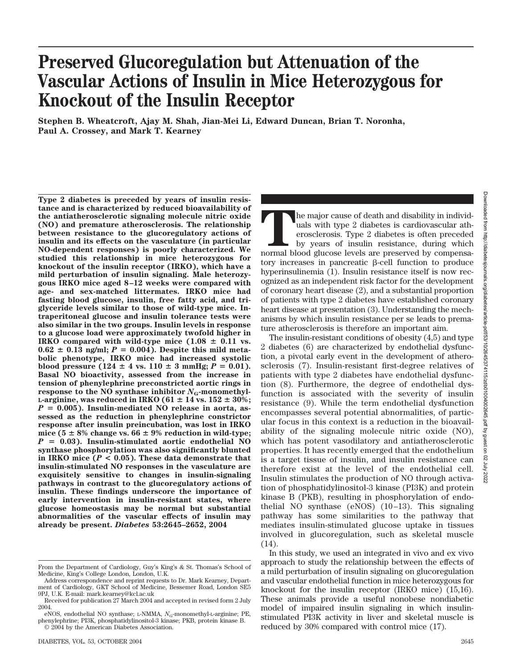# **Preserved Glucoregulation but Attenuation of the Vascular Actions of Insulin in Mice Heterozygous for Knockout of the Insulin Receptor**

**Stephen B. Wheatcroft, Ajay M. Shah, Jian-Mei Li, Edward Duncan, Brian T. Noronha, Paul A. Crossey, and Mark T. Kearney**

**Type 2 diabetes is preceded by years of insulin resistance and is characterized by reduced bioavailability of the antiatherosclerotic signaling molecule nitric oxide (NO) and premature atherosclerosis. The relationship between resistance to the glucoregulatory actions of insulin and its effects on the vasculature (in particular NO-dependent responses) is poorly characterized. We studied this relationship in mice heterozygous for knockout of the insulin receptor (IRKO), which have a mild perturbation of insulin signaling. Male heterozygous IRKO mice aged 8–12 weeks were compared with age- and sex-matched littermates. IRKO mice had fasting blood glucose, insulin, free fatty acid, and triglyceride levels similar to those of wild-type mice. Intraperitoneal glucose and insulin tolerance tests were also similar in the two groups. Insulin levels in response to a glucose load were approximately twofold higher in IRKO** compared with wild-type mice  $(1.08 \pm 0.11 \text{ vs.})$  $0.62 \pm 0.13$  ng/ml;  $P = 0.004$ ). Despite this mild meta**bolic phenotype, IRKO mice had increased systolic blood pressure**  $(124 \pm 4 \text{ vs. } 110 \pm 3 \text{ mmHg}; P = 0.01).$ **Basal NO bioactivity, assessed from the increase in tension of phenylephrine preconstricted aortic rings in response to the NO synthase inhibitor**  $N<sub>G</sub>$ -monomethyl-**L-arginine, was reduced in IRKO (61**  $\pm$  **14 vs. 152**  $\pm$  **30%;** *P* - **0.005). Insulin-mediated NO release in aorta, assessed as the reduction in phenylephrine constrictor response after insulin preincubation, was lost in IRKO** mice  $(5 \pm 8\%$  change vs.  $66 \pm 9\%$  reduction in wild-type; *P* - **0.03). Insulin-stimulated aortic endothelial NO synthase phosphorylation was also significantly blunted in IRKO mice (***P* **< 0.05). These data demonstrate that insulin-stimulated NO responses in the vasculature are exquisitely sensitive to changes in insulin-signaling pathways in contrast to the glucoregulatory actions of insulin. These findings underscore the importance of early intervention in insulin-resistant states, where glucose homeostasis may be normal but substantial abnormalities of the vascular effects of insulin may already be present.** *Diabetes* **53:2645–2652, 2004**

The major cause of death and disability in individuals with type 2 diabetes is cardiovascular atherseclerosis. Type 2 diabetes is often preceded by years of insulin resistance, during which normal blood glucose levels are uals with type 2 diabetes is cardiovascular atherosclerosis. Type 2 diabetes is often preceded by years of insulin resistance, during which tory increases in pancreatic  $\beta$ -cell function to produce hyperinsulinemia (1). Insulin resistance itself is now recognized as an independent risk factor for the development of coronary heart disease (2), and a substantial proportion of patients with type 2 diabetes have established coronary heart disease at presentation (3). Understanding the mechanisms by which insulin resistance per se leads to premature atherosclerosis is therefore an important aim.

The insulin-resistant conditions of obesity (4,5) and type 2 diabetes (6) are characterized by endothelial dysfunction, a pivotal early event in the development of atherosclerosis (7). Insulin-resistant first-degree relatives of patients with type 2 diabetes have endothelial dysfunction (8). Furthermore, the degree of endothelial dysfunction is associated with the severity of insulin resistance (9). While the term endothelial dysfunction encompasses several potential abnormalities, of particular focus in this context is a reduction in the bioavailability of the signaling molecule nitric oxide (NO), which has potent vasodilatory and antiatherosclerotic properties. It has recently emerged that the endothelium is a target tissue of insulin, and insulin resistance can therefore exist at the level of the endothelial cell. Insulin stimulates the production of NO through activation of phosphatidylinositol-3 kinase (PI3K) and protein kinase B (PKB), resulting in phosphorylation of endothelial NO synthase (eNOS) (10–13). This signaling pathway has some similarities to the pathway that mediates insulin-stimulated glucose uptake in tissues involved in glucoregulation, such as skeletal muscle (14).

In this study, we used an integrated in vivo and ex vivo approach to study the relationship between the effects of a mild perturbation of insulin signaling on glucoregulation and vascular endothelial function in mice heterozygous for knockout for the insulin receptor (IRKO mice) (15,16). These animals provide a useful nonobese nondiabetic model of impaired insulin signaling in which insulinstimulated PI3K activity in liver and skeletal muscle is reduced by 30% compared with control mice (17).

From the Department of Cardiology, Guy's King's & St. Thomas's School of Medicine, King's College London, London, U.K.

Address correspondence and reprint requests to Dr. Mark Kearney, Department of Cardiology, GKT School of Medicine, Bessemer Road, London SE5 9PJ, U.K. E-mail: mark.kearney@kcl.ac.uk

Received for publication 27 March 2004 and accepted in revised form 2 July 2004.

eNOS, endothelial NO synthase; L-NMMA, N<sub>G</sub>-monomethyl-L-arginine; PE, phenylephrine; PI3K, phosphatidylinositol-3 kinase; PKB, protein kinase B.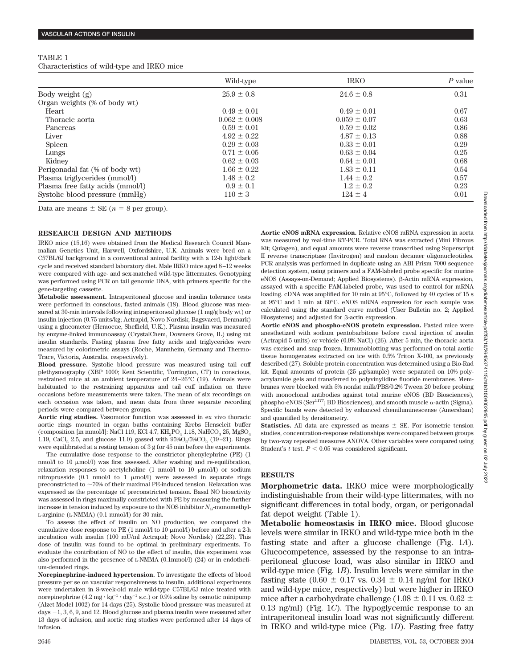# TABLE 1 Characteristics of wild-type and IRKO mice

|                                  | Wild-type         | <b>IRKO</b>      | $P$ value |
|----------------------------------|-------------------|------------------|-----------|
| Body weight $(g)$                | $25.9 \pm 0.8$    | $24.6 \pm 0.8$   | 0.31      |
| Organ weights (% of body wt)     |                   |                  |           |
| Heart                            | $0.49 \pm 0.01$   | $0.49 \pm 0.01$  | 0.67      |
| Thoracic aorta                   | $0.062 \pm 0.008$ | $0.059 \pm 0.07$ | 0.63      |
| Pancreas                         | $0.59 \pm 0.01$   | $0.59 \pm 0.02$  | 0.86      |
| Liver                            | $4.92 \pm 0.22$   | $4.87 \pm 0.13$  | 0.88      |
| Spleen                           | $0.29 \pm 0.03$   | $0.33 \pm 0.01$  | 0.29      |
| Lungs                            | $0.71 \pm 0.05$   | $0.63 \pm 0.04$  | 0.25      |
| Kidney                           | $0.62 \pm 0.03$   | $0.64 \pm 0.01$  | 0.68      |
| Perigonadal fat (% of body wt)   | $1.66 \pm 0.22$   | $1.83 \pm 0.11$  | 0.54      |
| Plasma triglycerides (mmol/l)    | $1.48 \pm 0.2$    | $1.44 \pm 0.2$   | 0.57      |
| Plasma free fatty acids (mmol/l) | $0.9 \pm 0.1$     | $1.2 \pm 0.2$    | 0.23      |
| Systolic blood pressure (mmHg)   | $110 \pm 3$       | $124 \pm 4$      | 0.01      |

Data are means  $\pm$  SE ( $n = 8$  per group).

#### **RESEARCH DESIGN AND METHODS**

IRKO mice (15,16) were obtained from the Medical Research Council Mammalian Genetics Unit, Harwell, Oxfordshire, U.K. Animals were bred on a C57BL/6J background in a conventional animal facility with a 12-h light/dark cycle and received standard laboratory diet. Male IRKO mice aged 8–12 weeks were compared with age- and sex-matched wild-type littermates. Genotyping was performed using PCR on tail genomic DNA, with primers specific for the gene-targeting cassette.

**Metabolic assessment.** Intraperitoneal glucose and insulin tolerance tests were performed in conscious, fasted animals (18). Blood glucose was measured at 30-min intervals following intraperitoneal glucose (1 mg/g body wt) or insulin injection (0.75 units/kg; Actrapid, Novo Nordisk, Bagsvaerd, Denmark) using a glucometer (Hemocue, Sheffield, U.K.). Plasma insulin was measured by enzyme-linked immunoassay (CrystalChem, Downers Grove, IL) using rat insulin standards. Fasting plasma free fatty acids and triglycerides were measured by colorimetric assays (Roche, Mannheim, Germany and Thermo-Trace, Victoria, Australia, respectively).

**Blood pressure.** Systolic blood pressure was measured using tail cuff plethysmography (XBP 1000; Kent Scientific, Torrington, CT) in conscious, restrained mice at an ambient temperature of 24–26°C (19). Animals were habituated to the restraining apparatus and tail cuff inflation on three occasions before measurements were taken. The mean of six recordings on each occasion was taken, and mean data from three separate recording periods were compared between groups.

**Aortic ring studies.** Vasomotor function was assessed in ex vivo thoracic aortic rings mounted in organ baths containing Krebs Henseleit buffer (composition [in mmol/l]: NaCl 119, KCl 4.7,  $KH_2PO_4$  1.18, NaHCO<sub>3</sub> 25, MgSO<sub>4</sub> 1.19, CaCl<sub>2</sub> 2.5, and glucose 11.0) gassed with  $95\%O_2/5\%CO_2$  (19–21). Rings were equilibrated at a resting tension of 3 g for 45 min before the experiments.

The cumulative dose response to the constrictor phenylephrine (PE) (1  $nmol/1$  to  $10 \mu mol/1$ ) was first assessed. After washing and re-equilibration, relaxation responses to acetylcholine  $(1 \text{ nmol}/1 \text{ to } 10 \text{ µmol}/1)$  or sodium nitroprusside  $(0.1 \text{ nmol/l to } 1 \text{ µmol/l})$  were assessed in separate rings preconstricted to  $\sim$  70% of their maximal PE-induced tension. Relaxation was expressed as the percentage of preconstricted tension. Basal NO bioactivity was assessed in rings maximally constricted with PE by measuring the further increase in tension induced by exposure to the NOS inhibitor  $N_{\rm G}$ -monomethyl-L-arginine (L-NMMA) (0.1 mmol/l) for 30 min.

To assess the effect of insulin on NO production, we compared the cumulative dose response to PE  $(1 \text{ nmol/l to } 10 \mu \text{mol/l})$  before and after a 2-h incubation with insulin (100 mU/ml Actrapid; Novo Nordisk) (22,23). This dose of insulin was found to be optimal in preliminary experiments. To evaluate the contribution of NO to the effect of insulin, this experiment was also performed in the presence of L-NMMA (0.1mmol/l) (24) or in endothelium-denuded rings.

**Norepinephrine-induced hypertension.** To investigate the effects of blood pressure per se on vascular responsiveness to insulin, additional experiments were undertaken in 8-week-old male wild-type C57BL/6J mice treated with norepinephrine  $(4.2 \text{ mg} \cdot \text{kg}^{-1} \cdot \text{day}^{-1} \text{ s.c.})$  or 0.9% saline by osmotic minipump (Alzet Model 1002) for 14 days (25). Systolic blood pressure was measured at days  $-1, 3, 6, 9$ , and 12. Blood glucose and plasma insulin were measured after 13 days of infusion, and aortic ring studies were performed after 14 days of infusion.

**Aortic eNOS mRNA expression.** Relative eNOS mRNA expression in aorta was measured by real-time RT-PCR. Total RNA was extracted (Mini Fibrous Kit; Quiagen), and equal amounts were reverse transcribed using Superscript II reverse transcriptase (Invitrogen) and random decamer oligonucleotides. PCR analysis was performed in duplicate using an ABI Prism 7000 sequence detection system, using primers and a FAM-labeled probe specific for murine eNOS (Assays-on-Demand; Applied Biosystems). β-Actin mRNA expression, assayed with a specific FAM-labeled probe, was used to control for mRNA loading. cDNA was amplified for 10 min at 95°C, followed by 40 cycles of 15 s at 95°C and 1 min at 60°C. eNOS mRNA expression for each sample was calculated using the standard curve method (User Bulletin no. 2; Applied Biosystems) and adjusted for  $\beta$ -actin expression.

**Aortic eNOS and phospho-eNOS protein expression.** Fasted mice were anesthetized with sodium pentobarbitone before caval injection of insulin (Actrapid 5 units) or vehicle (0.9% NaCl) (26). After 5 min, the thoracic aorta was excised and snap frozen. Immunoblotting was performed on total aortic tissue homogenates extracted on ice with 0.5% Triton X-100, as previously described (27). Soluble protein concentration was determined using a Bio-Rad kit. Equal amounts of protein  $(25 \mu g/sample)$  were separated on 10% polyacrylamide gels and transferred to polyvinylidine fluoride membranes. Membranes were blocked with 5% nonfat milk/PBS/0.2% Tween 20 before probing with monoclonal antibodies against total murine eNOS (BD Biosciences), phospho-eNOS (Ser $^{1177}$ ; BD Biosciences), and smooth muscle  $\alpha$ -actin (Sigma). Specific bands were detected by enhanced chemiluminescense (Amersham) and quantified by densitometry.

**Statistics.** All data are expressed as means  $\pm$  SE. For isometric tension studies, concentration-response relationships were compared between groups by two-way repeated measures ANOVA. Other variables were compared using Student's  $t$  test.  $P < 0.05$  was considered significant.

## **RESULTS**

**Morphometric data.** IRKO mice were morphologically indistinguishable from their wild-type littermates, with no significant differences in total body, organ, or perigonadal fat depot weight (Table 1).

**Metabolic homeostasis in IRKO mice.** Blood glucose levels were similar in IRKO and wild-type mice both in the fasting state and after a glucose challenge (Fig. 1*A*). Glucocompetence, assessed by the response to an intraperitoneal glucose load, was also similar in IRKO and wild-type mice (Fig. 1*B*). Insulin levels were similar in the fasting state (0.60  $\pm$  0.17 vs. 0.34  $\pm$  0.14 ng/ml for IRKO and wild-type mice, respectively) but were higher in IRKO mice after a carbohydrate challenge (1.08  $\pm$  0.11 vs. 0.62  $\pm$ 0.13 ng/ml) (Fig. 1*C*). The hypoglycemic response to an intraperitoneal insulin load was not significantly different in IRKO and wild-type mice (Fig. 1*D*). Fasting free fatty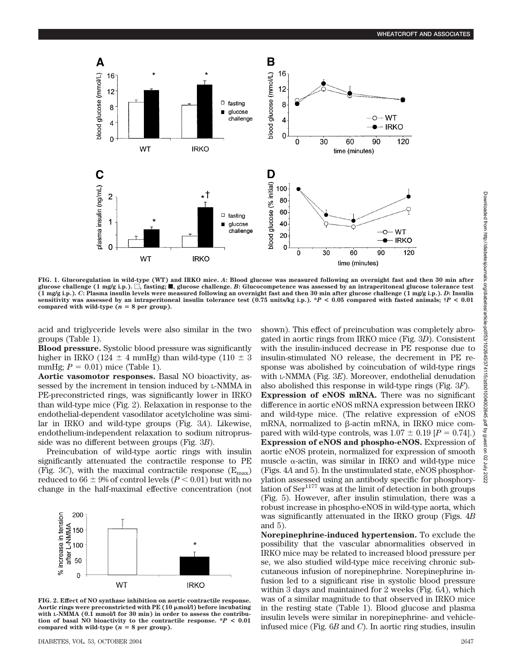

**FIG. 1. Glucoregulation in wild-type (WT) and IRKO mice.** *A***: Blood glucose was measured following an overnight fast and then 30 min after glucose challenge (1 mg/g i.p.).** -**, fasting;** f**, glucose challenge.** *B***: Glucocompetence was assessed by an intraperitoneal glucose tolerance test (1 mg/g i.p.).** *C***: Plasma insulin levels were measured following an overnight fast and then 30 min after glucose challenge (1 mg/g i.p.).** *D***: Insulin sensitivity was assessed by an intraperitoneal insulin tolerance test (0.75 units/kg i.p.). \****P* **< 0.05 compared with fasted animals; †***P* **< 0.01** compared with wild-type  $(n = 8$  per group).

acid and triglyceride levels were also similar in the two groups (Table 1).

**Blood pressure.** Systolic blood pressure was significantly higher in IRKO (124  $\pm$  4 mmHg) than wild-type (110  $\pm$  3 mmHg;  $P = 0.01$ ) mice (Table 1).

**Aortic vasomotor responses.** Basal NO bioactivity, assessed by the increment in tension induced by L-NMMA in PE-preconstricted rings, was significantly lower in IRKO than wild-type mice (Fig. 2). Relaxation in response to the endothelial-dependent vasodilator acetylcholine was similar in IRKO and wild-type groups (Fig. 3*A*). Likewise, endothelium-independent relaxation to sodium nitroprusside was no different between groups (Fig. 3*B*).

Preincubation of wild-type aortic rings with insulin significantly attenuated the contractile response to PE (Fig. 3*C*), with the maximal contractile response  $(E_{\text{max}})$ reduced to  $66 \pm 9\%$  of control levels ( $P < 0.01$ ) but with no change in the half-maximal effective concentration (not



**FIG. 2. Effect of NO synthase inhibition on aortic contractile response. Aortic rings were preconstricted with PE (10 mol/l) before incubating** with L-NMMA (0.1 mmol/l for 30 min) in order to assess the contribu**tion of basal NO bioactivity to the contractile response. \****P* **< 0.01** compared with wild-type  $(n = 8$  per group).

DIABETES, VOL. 53, OCTOBER 2004 2647

shown). This effect of preincubation was completely abrogated in aortic rings from IRKO mice (Fig. 3*D*). Consistent with the insulin-induced decrease in PE response due to insulin-stimulated NO release, the decrement in PE response was abolished by coincubation of wild-type rings with L-NMMA (Fig. 3*E*). Moreover, endothelial denudation also abolished this response in wild-type rings (Fig. 3*F*). **Expression of eNOS mRNA.** There was no significant difference in aortic eNOS mRNA expression between IRKO and wild-type mice. (The relative expression of eNOS mRNA, normalized to  $\beta$ -actin mRNA, in IRKO mice compared with wild-type controls, was  $1.07 \pm 0.19$  [*P* = 0.74].) **Expression of eNOS and phospho-eNOS.** Expression of aortic eNOS protein, normalized for expression of smooth muscle  $\alpha$ -actin, was similar in IRKO and wild-type mice (Figs. 4*A* and 5). In the unstimulated state, eNOS phosphorylation assessed using an antibody specific for phosphorylation of  $\text{Ser}^{1177}$  was at the limit of detection in both groups (Fig. 5). However, after insulin stimulation, there was a robust increase in phospho-eNOS in wild-type aorta, which was significantly attenuated in the IRKO group (Figs. 4*B* and 5).

**Norepinephrine-induced hypertension.** To exclude the possibility that the vascular abnormalities observed in IRKO mice may be related to increased blood pressure per se, we also studied wild-type mice receiving chronic subcutaneous infusion of norepinephrine. Norepinephrine infusion led to a significant rise in systolic blood pressure within 3 days and maintained for 2 weeks (Fig. 6*A*), which was of a similar magnitude to that observed in IRKO mice in the resting state (Table 1). Blood glucose and plasma insulin levels were similar in norepinephrine- and vehicleinfused mice (Fig. 6*B* and *C*). In aortic ring studies, insulin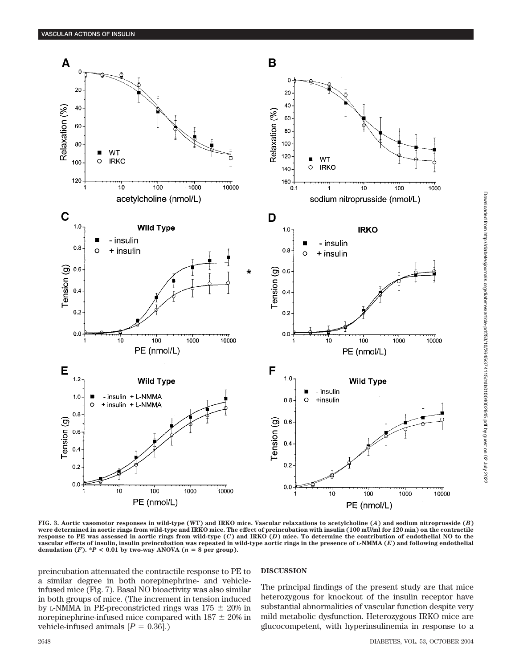

**FIG. 3. Aortic vasomotor responses in wild-type (WT) and IRKO mice. Vascular relaxations to acetylcholine (***A***) and sodium nitroprusside (***B***) were determined in aortic rings from wild-type and IRKO mice. The effect of preincubation with insulin (100 mU/ml for 120 min) on the contractile response to PE was assessed in aortic rings from wild-type (***C***) and IRKO (***D***) mice. To determine the contribution of endothelial NO to the vascular effects of insulin, insulin preincubation was repeated in wild-type aortic rings in the presence of L-NMMA (***E***) and following endothelial** denudation  $(F)$ .  $*P < 0.01$  by two-way ANOVA  $(n = 8$  per group).

preincubation attenuated the contractile response to PE to a similar degree in both norepinephrine- and vehicleinfused mice (Fig. 7). Basal NO bioactivity was also similar in both groups of mice. (The increment in tension induced by L-NMMA in PE-preconstricted rings was  $175 \pm 20\%$  in norepinephrine-infused mice compared with  $187 \pm 20\%$  in vehicle-infused animals  $[P = 0.36]$ .)

## **DISCUSSION**

The principal findings of the present study are that mice heterozygous for knockout of the insulin receptor have substantial abnormalities of vascular function despite very mild metabolic dysfunction. Heterozygous IRKO mice are glucocompetent, with hyperinsulinemia in response to a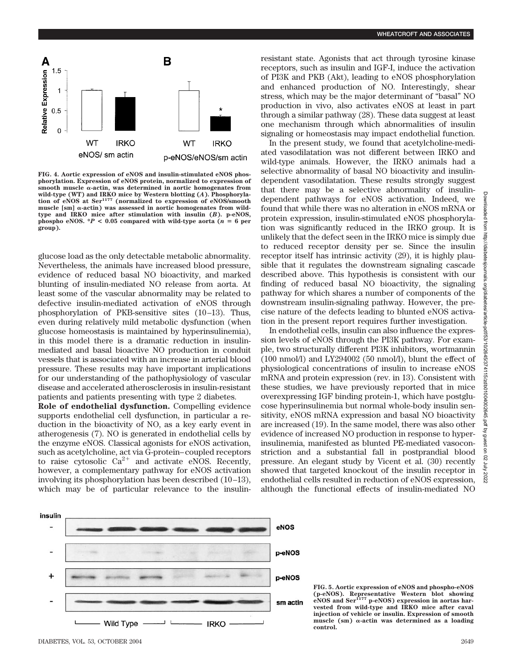

**FIG. 4. Aortic expression of eNOS and insulin-stimulated eNOS phosphorylation. Expression of eNOS protein, normalized to expression of**  $smooth$  muscle  $\alpha$ -actin, was determined in aortic homogenates from **wild-type (WT) and IRKO mice by Western blotting (***A***). Phosphoryla-tion of eNOS at Ser<sup>1177</sup> (normalized to expression of eNOS/smooth**  $mucle [sm]$   $\alpha$ -actin) was assessed in aortic homogenates from wild**type and IRKO mice after stimulation with insulin (***B***). p-eNOS, phospho eNOS.**  $^*P$  < 0.05 compared with wild-type aorta ( $n = 6$  per **group).**

glucose load as the only detectable metabolic abnormality. Nevertheless, the animals have increased blood pressure, evidence of reduced basal NO bioactivity, and marked blunting of insulin-mediated NO release from aorta. At least some of the vascular abnormality may be related to defective insulin-mediated activation of eNOS through phosphorylation of PKB-sensitive sites (10–13). Thus, even during relatively mild metabolic dysfunction (when glucose homeostasis is maintained by hyperinsulinemia), in this model there is a dramatic reduction in insulinmediated and basal bioactive NO production in conduit vessels that is associated with an increase in arterial blood pressure. These results may have important implications for our understanding of the pathophysiology of vascular disease and accelerated atherosclerosis in insulin-resistant patients and patients presenting with type 2 diabetes.

**Role of endothelial dysfunction.** Compelling evidence supports endothelial cell dysfunction, in particular a reduction in the bioactivity of NO, as a key early event in atherogenesis (7). NO is generated in endothelial cells by the enzyme eNOS. Classical agonists for eNOS activation, such as acetylcholine, act via G-protein–coupled receptors to raise cytosolic  $Ca^{2+}$  and activate eNOS. Recently, however, a complementary pathway for eNOS activation involving its phosphorylation has been described (10–13), which may be of particular relevance to the insulinresistant state. Agonists that act through tyrosine kinase receptors, such as insulin and IGF-I, induce the activation of PI3K and PKB (Akt), leading to eNOS phosphorylation and enhanced production of NO. Interestingly, shear stress, which may be the major determinant of "basal" NO production in vivo, also activates eNOS at least in part through a similar pathway (28). These data suggest at least one mechanism through which abnormalities of insulin signaling or homeostasis may impact endothelial function.

In the present study, we found that acetylcholine-mediated vasodilatation was not different between IRKO and wild-type animals. However, the IRKO animals had a selective abnormality of basal NO bioactivity and insulindependent vasodilatation. These results strongly suggest that there may be a selective abnormality of insulindependent pathways for eNOS activation. Indeed, we found that while there was no alteration in eNOS mRNA or protein expression, insulin-stimulated eNOS phosphorylation was significantly reduced in the IRKO group. It is unlikely that the defect seen in the IRKO mice is simply due to reduced receptor density per se. Since the insulin receptor itself has intrinsic activity (29), it is highly plausible that it regulates the downstream signaling cascade described above. This hypothesis is consistent with our finding of reduced basal NO bioactivity, the signaling pathway for which shares a number of components of the downstream insulin-signaling pathway. However, the precise nature of the defects leading to blunted eNOS activation in the present report requires further investigation.

In endothelial cells, insulin can also influence the expression levels of eNOS through the PI3K pathway. For example, two structurally different PI3K inhibitors, wortmannin (100 nmol/l) and LY294002 (50 nmol/l), blunt the effect of physiological concentrations of insulin to increase eNOS mRNA and protein expression (rev. in 13). Consistent with these studies, we have previously reported that in mice overexpressing IGF binding protein-1, which have postglucose hyperinsulinemia but normal whole-body insulin sensitivity, eNOS mRNA expression and basal NO bioactivity are increased (19). In the same model, there was also other evidence of increased NO production in response to hyperinsulinemia, manifested as blunted PE-mediated vasoconstriction and a substantial fall in postprandial blood pressure. An elegant study by Vicent et al. (30) recently showed that targeted knockout of the insulin receptor in endothelial cells resulted in reduction of eNOS expression, although the functional effects of insulin-mediated NO



 $\overline{a}$ 

2022<br>2022

**FIG. 5. Aortic expression of eNOS and phospho-eNOS (p-eNOS). Representative Western blot showing eNOS and Ser<sup>1177</sup> p-eNOS) expression in aortas harvested from wild-type and IRKO mice after caval injection of vehicle or insulin. Expression of smooth** muscle (sm)  $\alpha$ -actin was determined as a loading **control.**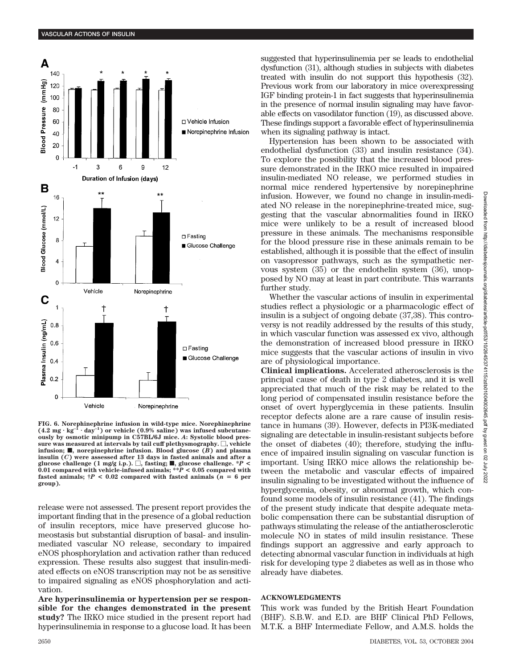

**FIG. 6. Norephinephrine infusion in wild-type mice. Norephinephrine**  $(4.2 \text{ mg} \cdot \text{kg}^{-1})$  $\cdot$  day<sup>-1</sup>) or vehicle (0.9% saline) was infused subcutane**ously by osmotic minipump in C57BL/6J mice.** *A***: Systolic blood pres-** $\mathbf{s}$ ure was measured at intervals by tail cuff plethysmography.  $\Box,$  vehicle **infusion;**  $\blacksquare$ , norepinephrine infusion. Blood glucose  $(B)$  and plasma **insulin (***C***) were assessed after 13 days in fasted animals and after a glucose challenge (1 mg/g i.p.).**  $\Box$ , fasting;  $\blacksquare$ , glucose challenge. \**P* < **0.01 compared with vehicle-infused animals; \*\****P* **< 0.05 compared with fasted animals;**  $\dagger P < 0.02$  compared with fasted animals ( $n = 6$  per **group).**

release were not assessed. The present report provides the important finding that in the presence of a global reduction of insulin receptors, mice have preserved glucose homeostasis but substantial disruption of basal- and insulinmediated vascular NO release, secondary to impaired eNOS phosphorylation and activation rather than reduced expression. These results also suggest that insulin-mediated effects on eNOS transcription may not be as sensitive to impaired signaling as eNOS phosphorylation and activation.

**Are hyperinsulinemia or hypertension per se responsible for the changes demonstrated in the present study?** The IRKO mice studied in the present report had hyperinsulinemia in response to a glucose load. It has been suggested that hyperinsulinemia per se leads to endothelial dysfunction (31), although studies in subjects with diabetes treated with insulin do not support this hypothesis (32). Previous work from our laboratory in mice overexpressing IGF binding protein-1 in fact suggests that hyperinsulinemia in the presence of normal insulin signaling may have favorable effects on vasodilator function (19), as discussed above. These findings support a favorable effect of hyperinsulinemia when its signaling pathway is intact.

Hypertension has been shown to be associated with endothelial dysfunction (33) and insulin resistance (34). To explore the possibility that the increased blood pressure demonstrated in the IRKO mice resulted in impaired insulin-mediated NO release, we performed studies in normal mice rendered hypertensive by norepinephrine infusion. However, we found no change in insulin-mediated NO release in the norepinephrine-treated mice, suggesting that the vascular abnormalities found in IRKO mice were unlikely to be a result of increased blood pressure in these animals. The mechanisms responsible for the blood pressure rise in these animals remain to be established, although it is possible that the effect of insulin on vasopressor pathways, such as the sympathetic nervous system (35) or the endothelin system (36), unopposed by NO may at least in part contribute. This warrants further study.

Whether the vascular actions of insulin in experimental studies reflect a physiologic or a pharmacologic effect of insulin is a subject of ongoing debate (37,38). This controversy is not readily addressed by the results of this study, in which vascular function was assessed ex vivo, although the demonstration of increased blood pressure in IRKO mice suggests that the vascular actions of insulin in vivo are of physiological importance.

**Clinical implications.** Accelerated atherosclerosis is the principal cause of death in type 2 diabetes, and it is well appreciated that much of the risk may be related to the long period of compensated insulin resistance before the onset of overt hyperglycemia in these patients. Insulin receptor defects alone are a rare cause of insulin resistance in humans (39). However, defects in PI3K-mediated signaling are detectable in insulin-resistant subjects before the onset of diabetes (40); therefore, studying the influence of impaired insulin signaling on vascular function is important. Using IRKO mice allows the relationship between the metabolic and vascular effects of impaired insulin signaling to be investigated without the influence of hyperglycemia, obesity, or abnormal growth, which confound some models of insulin resistance (41). The findings of the present study indicate that despite adequate metabolic compensation there can be substantial disruption of pathways stimulating the release of the antiatherosclerotic molecule NO in states of mild insulin resistance. These findings support an aggressive and early approach to detecting abnormal vascular function in individuals at high risk for developing type 2 diabetes as well as in those who already have diabetes.

# **ACKNOWLEDGMENTS**

This work was funded by the British Heart Foundation (BHF). S.B.W. and E.D. are BHF Clinical PhD Fellows, M.T.K. a BHF Intermediate Fellow, and A.M.S. holds the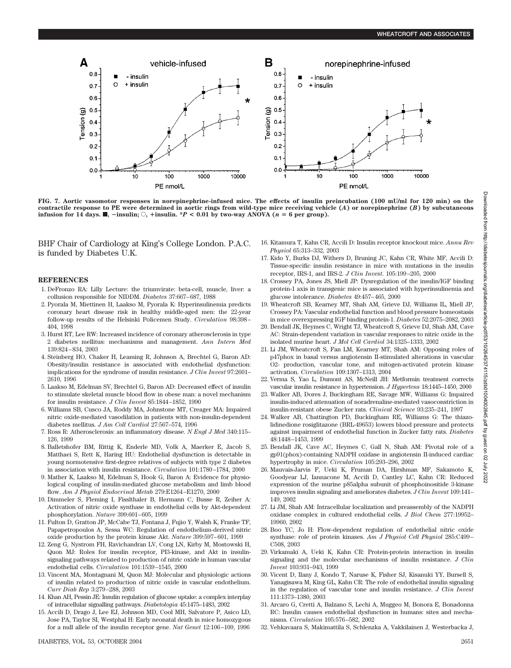

**FIG. 7. Aortic vasomotor responses in norepinephrine-infused mice. The effects of insulin preincubation (100 mU/ml for 120 min) on the contractile response to PE were determined in aortic rings from wild-type mice receiving vehicle (***A***) or norepinephrine (***B***) by subcutaneous infusion for 14 days. f**,  $\blacksquare$ ,  $\blacksquare$  insulin. \**P* < 0.01 by two-way ANOVA (*n* = 6 per group).

BHF Chair of Cardiology at King's College London. P.A.C. is funded by Diabetes U.K.

### **REFERENCES**

- 1. DeFronzo RA: Lilly Lecture: the triumvirate: beta-cell, muscle, liver: a collusion responsible for NIDDM. *Diabetes* 37:667–687, 1988
- 2. Pyorala M, Miettinen H, Laakso M, Pyorala K: Hyperinsulinemia predicts coronary heart disease risk in healthy middle-aged men: the 22-year follow-up results of the Helsinki Policemen Study. *Circulation* 98:398– 404, 1998
- 3. Hurst RT, Lee RW: Increased incidence of coronary atherosclerosis in type 2 diabetes mellitus: mechanisms and management. *Ann Intern Med* 139:824–834, 2003
- 4. Steinberg HO, Chaker H, Leaming R, Johnson A, Brechtel G, Baron AD: Obesity/insulin resistance is associated with endothelial dysfunction: implications for the syndrome of insulin resistance. *J Clin Invest* 97:2601– 2610, 1996
- 5. Laakso M, Edelman SV, Brechtel G, Baron AD: Decreased effect of insulin to stimulate skeletal muscle blood flow in obese man: a novel mechanism for insulin resistance. *J Clin Invest* 85:1844–1852, 1990
- 6. Williams SB, Cusco JA, Roddy MA, Johnstone MT, Creager MA: Impaired nitric oxide-mediated vasodilation in patients with non-insulin-dependent diabetes mellitus. *J Am Coll Cardiol* 27:567–574, 1996
- 7. Ross R: Atherosclerosis: an inflammatory disease. *N Engl J Med* 340:115– 126, 1999
- 8. Balletshofer BM, Rittig K, Enderle MD, Volk A, Maerker E, Jacob S, Matthaei S, Rett K, Haring HU: Endothelial dysfunction is detectable in young normotensive first-degree relatives of subjects with type 2 diabetes in association with insulin resistance. *Circulation* 101:1780–1784, 2000
- 9. Mather K, Laakso M, Edelman S, Hook G, Baron A: Evidence for physiological coupling of insulin-mediated glucose metabolism and limb blood flow. *Am J Physiol Endocrinol Metab* 279:E1264–E1270, 2000
- 10. Dimmeler S, Fleming I, Fisslthaler B, Hermann C, Busse R, Zeiher A: Activation of nitric oxide synthase in endothelial cells by Akt-dependent phosphorylation. *Nature* 399:601–605, 1999
- 11. Fulton D, Gratton JP, McCabe TJ, Fontana J, Fujio Y, Walsh K, Franke TF, Papapetropoulos A, Sessa WC: Regulation of endothelium-derived nitric oxide production by the protein kinase Akt. *Nature* 399:597–601, 1999
- 12. Zeng G, Nystrom FH, Ravichandran LV, Cong LN, Kirby M, Mostowski H, Quon MJ: Roles for insulin receptor, PI3-kinase, and Akt in insulinsignaling pathways related to production of nitric oxide in human vascular endothelial cells. *Circulation* 101:1539–1545, 2000
- 13. Vincent MA, Montagnani M, Quon MJ: Molecular and physiologic actions of insulin related to production of nitric oxide in vascular endothelium. *Curr Diab Rep* 3:279–288, 2003
- 14. Khan AH, Pessin JE: Insulin regulation of glucose uptake: a complex interplay of intracellular signalling pathways. *Diabetologia* 45:1475–1483, 2002
- 15. Accili D, Drago J, Lee EJ, Johnson MD, Cool MH, Salvatore P, Asico LD, Jose PA, Taylor SI, Westphal H: Early neonatal death in mice homozygous for a null allele of the insulin receptor gene. *Nat Genet* 12:106–109, 1996
- DIABETES, VOL. 53, OCTOBER 2004 2651
- 16. Kitamura T, Kahn CR, Accili D: Insulin receptor knockout mice. *Annu Rev Physiol* 65:313–332, 2003
- 17. Kido Y, Burks DJ, Withers D, Bruning JC, Kahn CR, White MF, Accili D: Tissue-specific insulin resistance in mice with mutations in the insulin receptor, IRS-1, and IRS-2. *J Clin Invest*. 105:199–205, 2000
- 18. Crossey PA, Jones JS, Miell JP: Dysregulation of the insulin/IGF binding protein-1 axis in transgenic mice is associated with hyperinsulinemia and glucose intolerance. *Diabetes* 49:457–465, 2000
- 19. Wheatcroft SB, Kearney MT, Shah AM, Grieve DJ, Williams IL, Miell JP, Crossey PA: Vascular endothelial function and blood pressure homeostasis in mice overexpressing IGF binding protein-1. *Diabetes* 52:2075–2082, 2003
- 20. Bendall JK, Heymes C, Wright TJ, Wheatcroft S, Grieve DJ, Shah AM, Cave AC: Strain-dependent variation in vascular responses to nitric oxide in the isolated murine heart. *J Mol Cell Cardiol* 34:1325–1333, 2002
- 21. Li JM, Wheatcroft S, Fan LM, Kearney MT, Shah AM: Opposing roles of p47phox in basal versus angiotensin II-stimulated alterations in vascular O2- production, vascular tone, and mitogen-activated protein kinase activation. *Circulation* 109:1307–1313, 2004
- 22. Verma S, Yao L, Dumont AS, McNeill JH: Metformin treatment corrects vascular insulin resistance in hypertension. *J Hypertens* 18:1445–1450, 2000
- 23. Walker AB, Dores J, Buckingham RE, Savage MW, Williams G: Impaired insulin-induced attenuation of noradrenaline-mediated vasoconstriction in insulin-resistant obese Zucker rats. *Clinical Science* 93:235–241, 1997
- 24. Walker AB, Chattington PD, Buckingham RE, Williams G: The thiazolidinedione rosiglitazone (BRL-49653) lowers blood pressure and protects against impairment of endothelial function in Zucker fatty rats. *Diabetes* 48:1448–1453, 1999
- 25. Bendall JK, Cave AC, Heymes C, Gall N, Shah AM: Pivotal role of a gp91(phox)-containing NADPH oxidase in angiotensin II-induced cardiac hypertrophy in mice. *Circulation* 105:293–296, 2002
- 26. Mauvais-Jarvis F, Ueki K, Fruman DA, Hirshman MF, Sakamoto K, Goodyear LJ, Iannacone M, Accili D, Cantley LC, Kahn CR: Reduced expression of the murine p85alpha subunit of phosphoinositide 3-kinase improves insulin signaling and ameliorates diabetes. *J Clin Invest* 109:141– 149, 2002
- 27. Li JM, Shah AM: Intracellular localization and preassembly of the NADPH oxidase complex in cultured endothelial cells. *J Biol Chem* 277:19952– 19960, 2002
- 28. Boo YC, Jo H: Flow-dependent regulation of endothelial nitric oxide synthase: role of protein kinases. *Am J Physiol Cell Physiol* 285:C499– C508, 2003
- 29. Virkamaki A, Ueki K, Kahn CR: Protein-protein interaction in insulin signaling and the molecular mechanisms of insulin resistance. *J Clin Invest* 103:931–943, 1999
- 30. Vicent D, Ilany J, Kondo T, Naruse K, Fisher SJ, Kisanuki YY, Bursell S, Yanagisawa M, King GL, Kahn CR: The role of endothelial insulin signaling in the regulation of vascular tone and insulin resistance. *J Clin Invest* 111:1373–1380, 2003
- 31. Arcaro G, Cretti A, Balzano S, Lechi A, Muggeo M, Bonora E, Bonadonna RC: Insulin causes endothelial dysfunction in humans: sites and mechanisms. *Circulation* 105:576–582, 2002
- 32. Vehkavaara S, Makimattila S, Schlenzka A, Vakkilainen J, Westerbacka J,